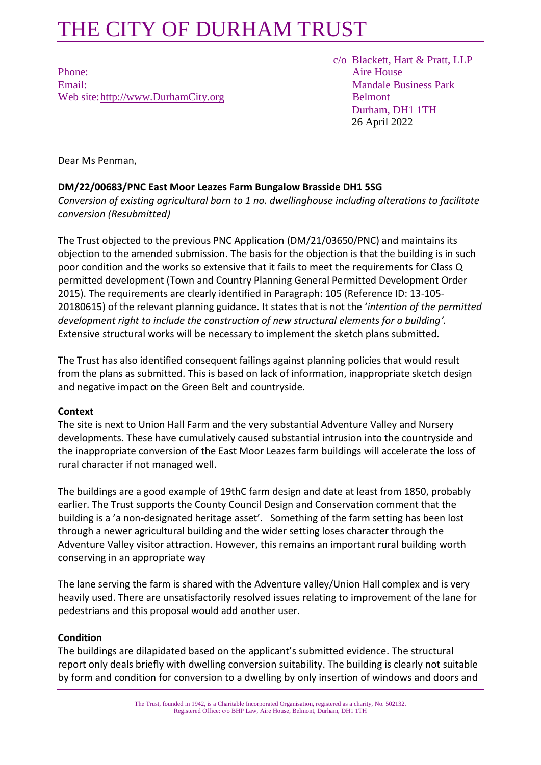## THE CITY OF DURHAM TRUST

Phone: Aire House Email: Mandale Business Park Web site[:http://www.DurhamCity.org](http://www.durhamcity.org/) Belmont

 c/o Blackett, Hart & Pratt, LLP Durham, DH1 1TH 26 April 2022

Dear Ms Penman,

### **DM/22/00683/PNC East Moor Leazes Farm Bungalow Brasside DH1 5SG**

*Conversion of existing agricultural barn to 1 no. dwellinghouse including alterations to facilitate conversion (Resubmitted)* 

The Trust objected to the previous PNC Application (DM/21/03650/PNC) and maintains its objection to the amended submission. The basis for the objection is that the building is in such poor condition and the works so extensive that it fails to meet the requirements for Class Q permitted development (Town and Country Planning General Permitted Development Order 2015). The requirements are clearly identified in Paragraph: 105 (Reference ID: 13-105- 20180615) of the relevant planning guidance. It states that is not the '*intention of the permitted development right to include the construction of new structural elements for a building'.*  Extensive structural works will be necessary to implement the sketch plans submitted*.*

The Trust has also identified consequent failings against planning policies that would result from the plans as submitted. This is based on lack of information, inappropriate sketch design and negative impact on the Green Belt and countryside.

### **Context**

The site is next to Union Hall Farm and the very substantial Adventure Valley and Nursery developments. These have cumulatively caused substantial intrusion into the countryside and the inappropriate conversion of the East Moor Leazes farm buildings will accelerate the loss of rural character if not managed well.

The buildings are a good example of 19thC farm design and date at least from 1850, probably earlier. The Trust supports the County Council Design and Conservation comment that the building is a 'a non-designated heritage asset'. Something of the farm setting has been lost through a newer agricultural building and the wider setting loses character through the Adventure Valley visitor attraction. However, this remains an important rural building worth conserving in an appropriate way

The lane serving the farm is shared with the Adventure valley/Union Hall complex and is very heavily used. There are unsatisfactorily resolved issues relating to improvement of the lane for pedestrians and this proposal would add another user.

### **Condition**

The buildings are dilapidated based on the applicant's submitted evidence. The structural report only deals briefly with dwelling conversion suitability. The building is clearly not suitable by form and condition for conversion to a dwelling by only insertion of windows and doors and

> The Trust, founded in 1942, is a Charitable Incorporated Organisation, registered as a charity, No. 502132. Registered Office: c/o BHP Law, Aire House, Belmont, Durham, DH1 1TH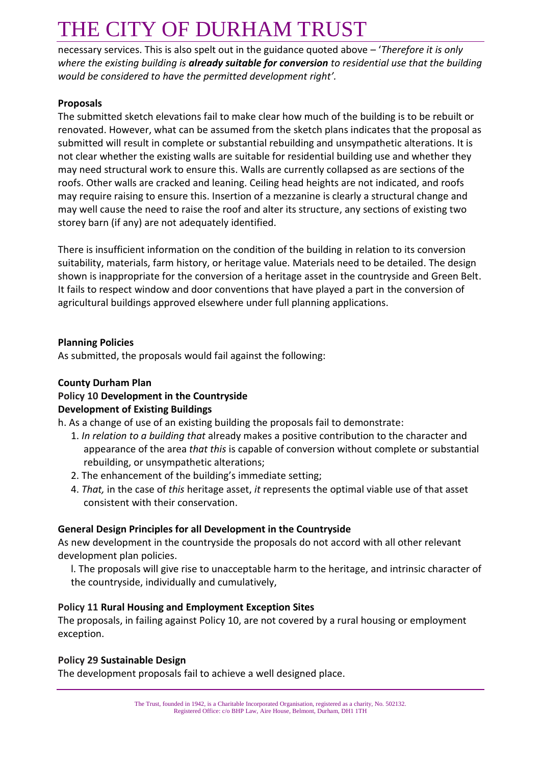# THE CITY OF DURHAM TRUST

necessary services. This is also spelt out in the guidance quoted above – '*Therefore it is only where the existing building is already suitable for conversion to residential use that the building would be considered to have the permitted development right'.*

### **Proposals**

The submitted sketch elevations fail to make clear how much of the building is to be rebuilt or renovated. However, what can be assumed from the sketch plans indicates that the proposal as submitted will result in complete or substantial rebuilding and unsympathetic alterations. It is not clear whether the existing walls are suitable for residential building use and whether they may need structural work to ensure this. Walls are currently collapsed as are sections of the roofs. Other walls are cracked and leaning. Ceiling head heights are not indicated, and roofs may require raising to ensure this. Insertion of a mezzanine is clearly a structural change and may well cause the need to raise the roof and alter its structure, any sections of existing two storey barn (if any) are not adequately identified.

There is insufficient information on the condition of the building in relation to its conversion suitability, materials, farm history, or heritage value. Materials need to be detailed. The design shown is inappropriate for the conversion of a heritage asset in the countryside and Green Belt. It fails to respect window and door conventions that have played a part in the conversion of agricultural buildings approved elsewhere under full planning applications.

#### **Planning Policies**

As submitted, the proposals would fail against the following:

### **County Durham Plan**

### **Policy 10 Development in the Countryside**

### **Development of Existing Buildings**

h. As a change of use of an existing building the proposals fail to demonstrate:

- 1. *In relation to a building that* already makes a positive contribution to the character and appearance of the area *that this* is capable of conversion without complete or substantial rebuilding, or unsympathetic alterations;
- 2. The enhancement of the building's immediate setting;
- 4. *That,* in the case of *this* heritage asset, *it* represents the optimal viable use of that asset consistent with their conservation.

### **General Design Principles for all Development in the Countryside**

As new development in the countryside the proposals do not accord with all other relevant development plan policies.

l. The proposals will give rise to unacceptable harm to the heritage, and intrinsic character of the countryside, individually and cumulatively,

### **Policy 11 Rural Housing and Employment Exception Sites**

The proposals, in failing against Policy 10, are not covered by a rural housing or employment exception.

#### **Policy 29 Sustainable Design**

The development proposals fail to achieve a well designed place.